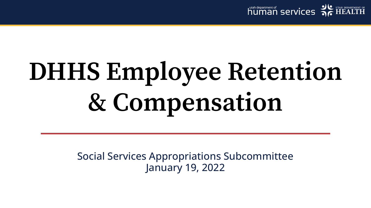

# **DHHS Employee Retention & Compensation**

Social Services Appropriations Subcommittee January 19, 2022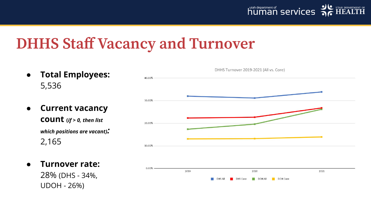### **DHHS Staff Vacancy and Turnover**

- **Total Employees:** 5,536
- **Current vacancy**

**count (***if > 0, then list which positions are vacant):* 2,165

● **Turnover rate:**

28% (DHS - 34%, UDOH - 26%)

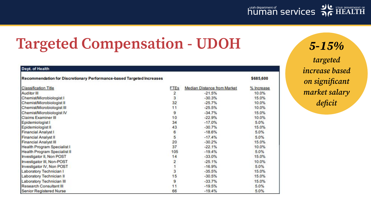

### **Targeted Compensation - UDOH 5-15%**

| Recommendation for Discretionary Performance-based Targeted Increases |  |
|-----------------------------------------------------------------------|--|
| <b>Classification Title</b>                                           |  |
| <b>Auditor III</b>                                                    |  |
| Chemist/Microbiologist I                                              |  |
| Chemist/Microbiologist II                                             |  |
| Chemist/Microbiologist III                                            |  |
| Chemist/Microbiologist IV                                             |  |
| <b>Claims Examiner III</b>                                            |  |
| Epidemiologist I                                                      |  |
| Epidemiologist II                                                     |  |
| <b>Financial Analyst I</b>                                            |  |
| <b>Financial Analyst II</b>                                           |  |
| <b>Financial Analyst III</b>                                          |  |
| <b>Health Program Specialist I</b>                                    |  |
| <b>Health Program Specialist II</b>                                   |  |
| Investigator II, Non POST                                             |  |
| Investigator III, Non-POST                                            |  |
| Investigator IV, Non POST                                             |  |
| Laboratory Technician I                                               |  |
| Laboratory Technician II                                              |  |
| <b>Laboratory Technician III</b>                                      |  |
| <b>Research Consultant III</b>                                        |  |
| <b>Senior Registered Nurse</b>                                        |  |

Dept. of Health

\$685,600 FTEs Median Distance from Market % Increase  $\overline{2}$  $-21.5%$ 10.0% 3  $-30.3%$ 15.0%  $32$  $-25.7%$ 10.0%  $11$  $-25.5%$ 10.0%  $-34.7%$ 9 15.0%  $10$  $-22.9%$ 10.0%  $34$  $-17.0%$ 5.0% 43  $-30.7%$ 15.0% 6  $-18.6%$ 5.0% 5  $-17.4%$ 5.0% 20  $-30.2%$ 15.0% 37  $-22.1%$ 10.0% 105  $-19.4%$ 5.0%  $14$  $-33.0%$ 15.0%  $\overline{2}$  $-25.1%$ 10.0%  $\overline{1}$  $-16.9%$ 5.0% 3  $-35.5%$ 15.0%  $15$  $-30.5%$ 15.0% 9  $-33.7%$ 15.0%  $11$  $-19.5%$ 5.0% 66  $-19.4%$ 5.0%

**targeted increase based on significant market salary deficit**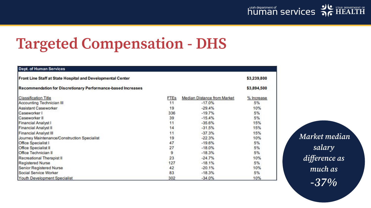

### **Targeted Compensation - DHS**

| Front Line Staff at State Hospital and Developmental Center         |             |                             | \$3,239,800 |
|---------------------------------------------------------------------|-------------|-----------------------------|-------------|
| <b>Recommendation for Discretionary Performance-based Increases</b> |             |                             | \$3,894,500 |
| <b>Classification Title</b>                                         | <b>FTEs</b> | Median Distance from Market | % Increase  |
| <b>Accounting Technician III</b>                                    | 11          | $-17.0%$                    | 5%          |
| <b>Assistant Caseworker</b>                                         | 19          | $-29.4%$                    | 10%         |
| Caseworker I                                                        | 336         | $-19.7%$                    | 5%          |
| Caseworker II                                                       | 39          | $-15.4%$                    | 5%          |
| <b>Financial Analyst I</b>                                          | 11          | $-35.6%$                    | 15%         |
| <b>Financial Analyst II</b>                                         | 14          | $-31.5%$                    | 15%         |
| <b>Financial Analyst III</b>                                        | 11          | $-37.3%$                    | 15%         |
| Journey Maintenance/Construction Specialist                         | 19          | $-22.3%$                    | 10%         |
| Office Specialist I                                                 | 47          | $-19.6%$                    | 5%          |
| <b>Office Specialist II</b>                                         | 27          | $-18.0%$                    | 5%          |
| Office Technician II                                                | 9           | $-18.3%$                    | 5%          |
| Recreational Therapist II                                           | 23          | $-24.7%$                    | 10%         |
| <b>Registered Nurse</b>                                             | 127         | $-18.1%$                    | 5%          |
| Senior Registered Nurse                                             | 42          | $-20.1%$                    | 10%         |
| Social Service Worker                                               | 83          | $-18.3%$                    | 5%          |
| Youth Development Specialist                                        | 302         | $-34.0%$                    | 10%         |

**Market median salary difference as much as -37%**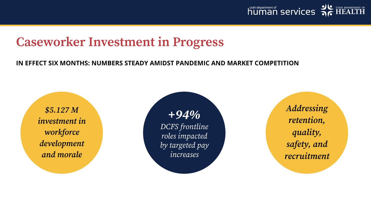

#### **Caseworker Investment in Progress**

#### **IN EFFECT SIX MONTHS: NUMBERS STEADY AMIDST PANDEMIC AND MARKET COMPETITION**

**\$5.127 M investment in workforce development and morale**

**+94%** DCFS frontline roles impacted by targeted pay increases

**Addressing retention, quality, safety, and recruitment**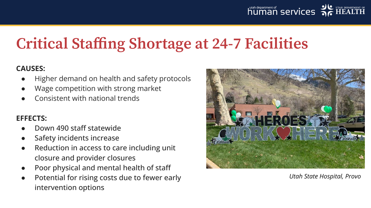

### **Critical Staffing Shortage at 24-7 Facilities**

#### **CAUSES:**

- Higher demand on health and safety protocols
- Wage competition with strong market
- Consistent with national trends

#### **EFFECTS:**

- Down 490 staff statewide
- Safety incidents increase
- Reduction in access to care including unit closure and provider closures
- Poor physical and mental health of staff
- Potential for rising costs due to fewer early intervention options



*Utah State Hospital, Provo*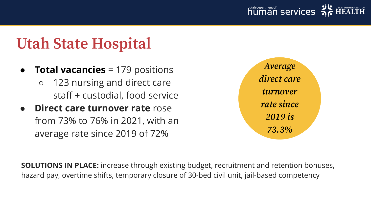

### **Utah State Hospital**

- **Total vacancies** = 179 positions
	- 123 nursing and direct care staff + custodial, food service
- **Direct care turnover rate** rose from 73% to 76% in 2021, with an average rate since 2019 of 72%



**SOLUTIONS IN PLACE:** increase through existing budget, recruitment and retention bonuses, hazard pay, overtime shifts, temporary closure of 30-bed civil unit, jail-based competency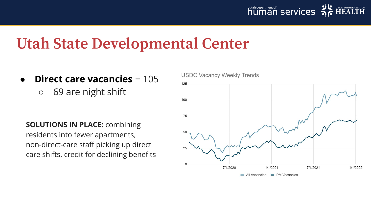

### **Utah State Developmental Center**

- **Direct care vacancies** = 105
	- 69 are night shift

**SOLUTIONS IN PLACE:** combining residents into fewer apartments, non-direct-care staff picking up direct care shifts, credit for declining benefits

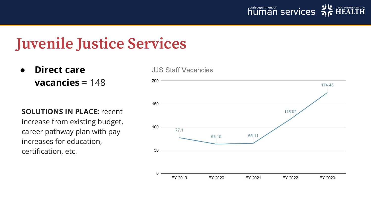

#### **Juvenile Justice Services**

● **Direct care vacancies** = 148

**SOLUTIONS IN PLACE:** recent increase from existing budget, career pathway plan with pay increases for education, certification, etc.

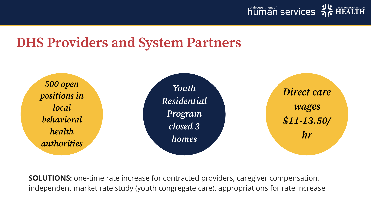

#### **DHS Providers and System Partners**



**SOLUTIONS:** one-time rate increase for contracted providers, caregiver compensation, independent market rate study (youth congregate care), appropriations for rate increase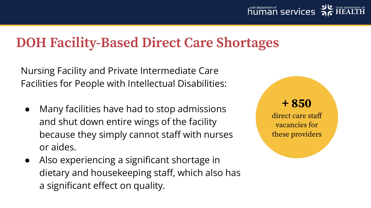#### **DOH Facility-Based Direct Care Shortages**

Nursing Facility and Private Intermediate Care Facilities for People with Intellectual Disabilities:

- Many facilities have had to stop admissions and shut down entire wings of the facility because they simply cannot staff with nurses or aides.
- Also experiencing a significant shortage in dietary and housekeeping staff, which also has a significant effect on quality.

**+ 850**

direct care staff vacancies for these providers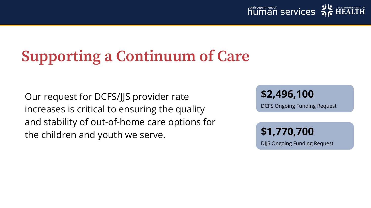

## **Supporting a Continuum of Care**

Our request for DCFS/JJS provider rate increases is critical to ensuring the quality and stability of out-of-home care options for the children and youth we serve.

**\$2,496,100**

DCFS Ongoing Funding Request

**\$1,770,700** DJJS Ongoing Funding Request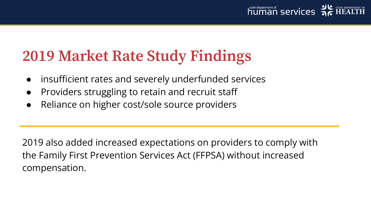

### **2019 Market Rate Study Findings**

- insufficient rates and severely underfunded services
- Providers struggling to retain and recruit staff
- Reliance on higher cost/sole source providers

2019 also added increased expectations on providers to comply with the Family First Prevention Services Act (FFPSA) without increased compensation.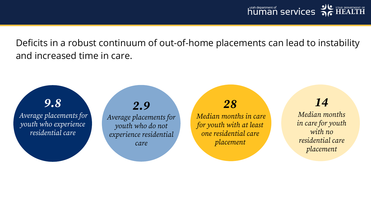Deficits in a robust continuum of out-of-home placements can lead to instability and increased time in care.

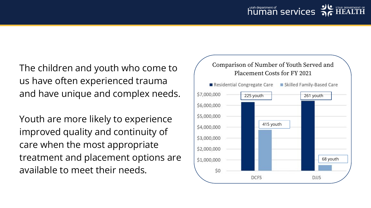The children and youth who come to us have often experienced trauma and have unique and complex needs.

Youth are more likely to experience improved quality and continuity of care when the most appropriate treatment and placement options are available to meet their needs.

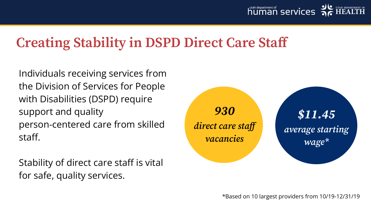

#### **Creating Stability in DSPD Direct Care Staff**

Individuals receiving services from the Division of Services for People with Disabilities (DSPD) require support and quality person-centered care from skilled staff.

Stability of direct care staff is vital for safe, quality services.

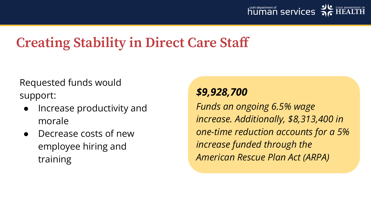

#### **Creating Stability in Direct Care Staff**

Requested funds would support:

- Increase productivity and morale
- Decrease costs of new employee hiring and training

#### *\$9,928,700*

*Funds an ongoing 6.5% wage increase. Additionally, \$8,313,400 in one-time reduction accounts for a 5% increase funded through the American Rescue Plan Act (ARPA)*